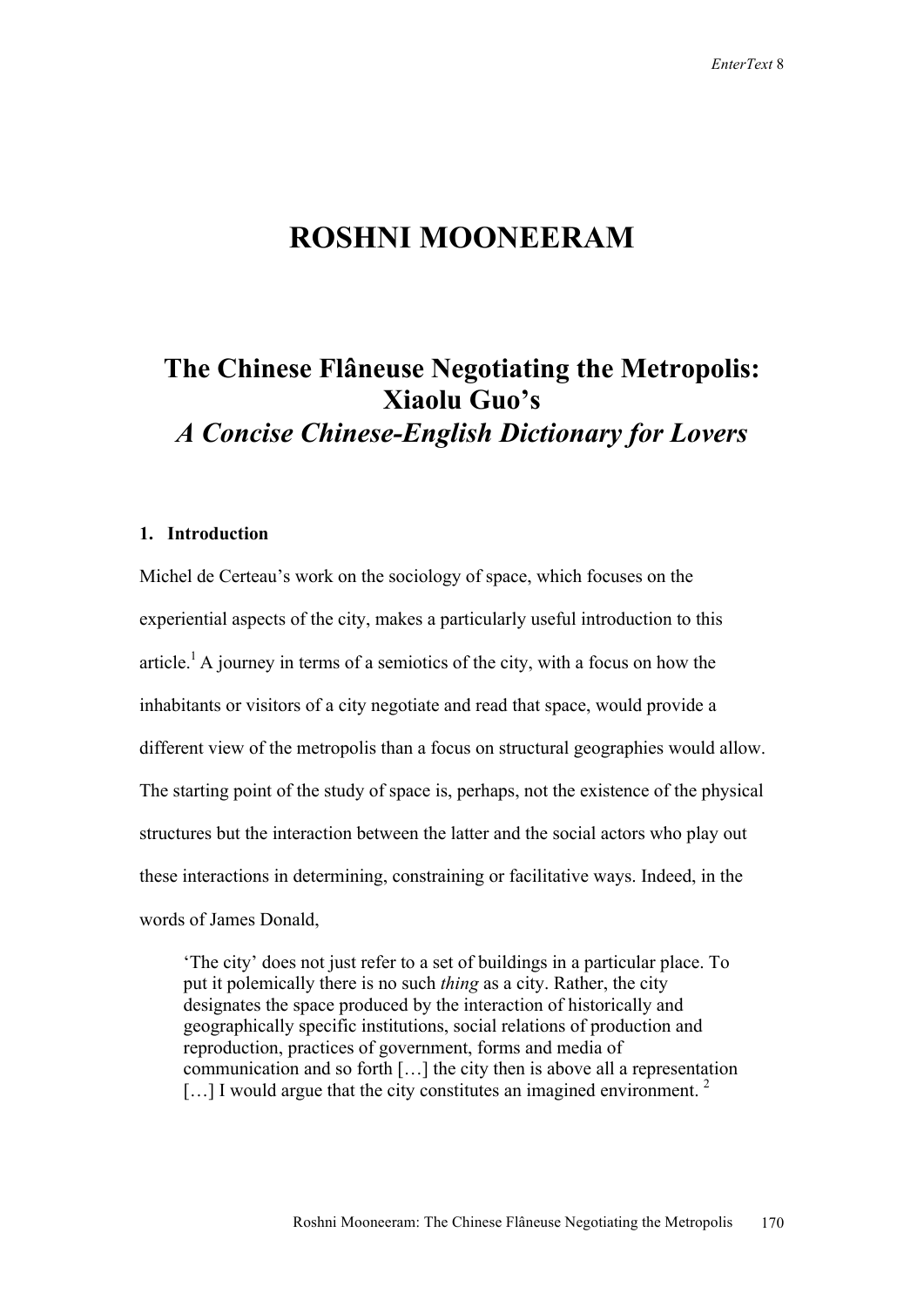# **ROSHNI MOONEERAM**

# **The Chinese Flâneuse Negotiating the Metropolis: Xiaolu Guo's**

*A Concise Chinese-English Dictionary for Lovers*

### **1. Introduction**

Michel de Certeau's work on the sociology of space, which focuses on the experiential aspects of the city, makes a particularly useful introduction to this article.<sup>1</sup> A journey in terms of a semiotics of the city, with a focus on how the inhabitants or visitors of a city negotiate and read that space, would provide a different view of the metropolis than a focus on structural geographies would allow. The starting point of the study of space is, perhaps, not the existence of the physical structures but the interaction between the latter and the social actors who play out these interactions in determining, constraining or facilitative ways. Indeed, in the words of James Donald,

'The city' does not just refer to a set of buildings in a particular place. To put it polemically there is no such *thing* as a city. Rather, the city designates the space produced by the interaction of historically and geographically specific institutions, social relations of production and reproduction, practices of government, forms and media of communication and so forth […] the city then is above all a representation  $\left[ \ldots \right]$  I would argue that the city constitutes an imagined environment. <sup>2</sup>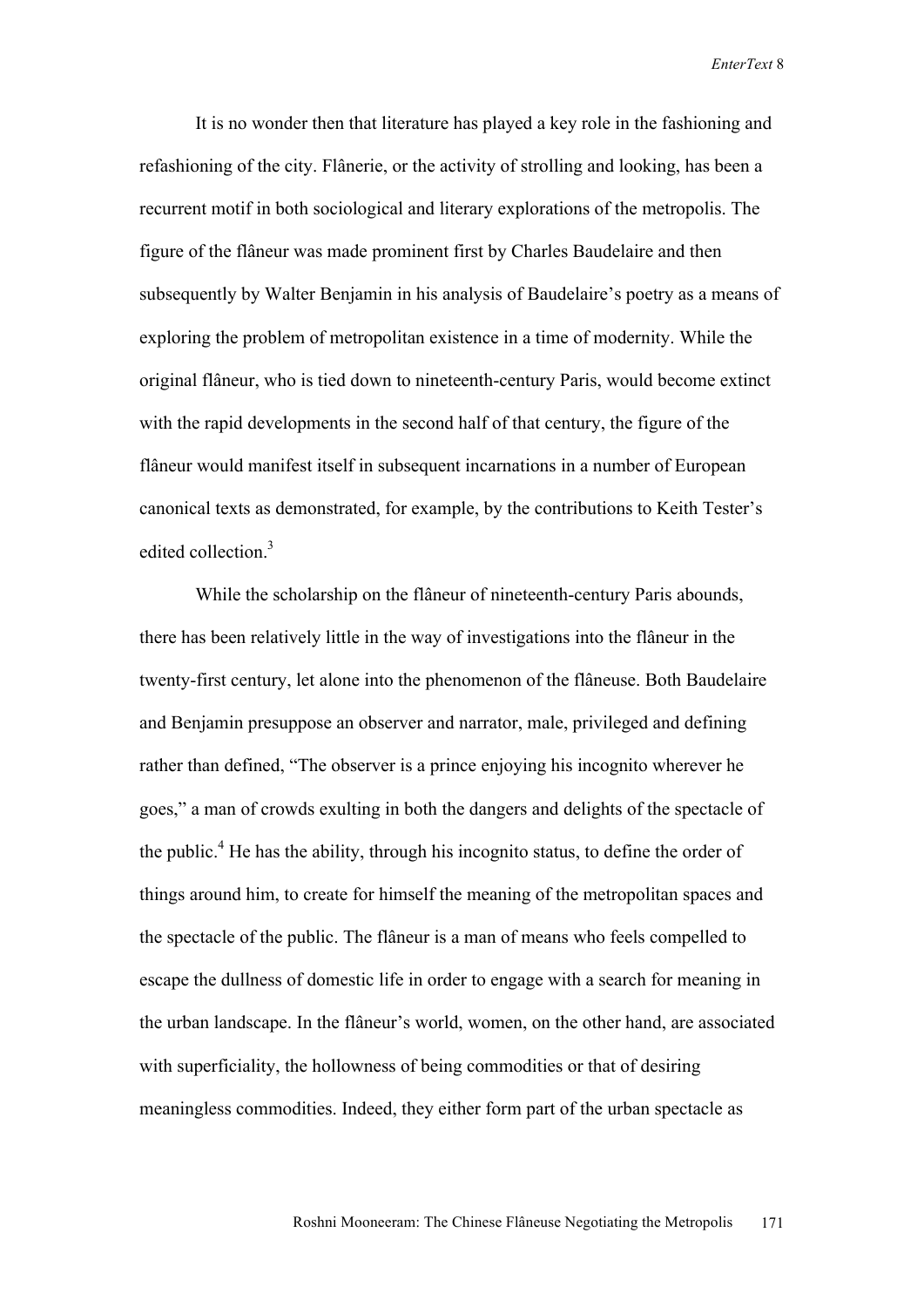It is no wonder then that literature has played a key role in the fashioning and refashioning of the city. Flânerie, or the activity of strolling and looking, has been a recurrent motif in both sociological and literary explorations of the metropolis. The figure of the flâneur was made prominent first by Charles Baudelaire and then subsequently by Walter Benjamin in his analysis of Baudelaire's poetry as a means of exploring the problem of metropolitan existence in a time of modernity. While the original flâneur, who is tied down to nineteenth-century Paris, would become extinct with the rapid developments in the second half of that century, the figure of the flâneur would manifest itself in subsequent incarnations in a number of European canonical texts as demonstrated, for example, by the contributions to Keith Tester's edited collection.<sup>3</sup>

While the scholarship on the flâneur of nineteenth-century Paris abounds, there has been relatively little in the way of investigations into the flâneur in the twenty-first century, let alone into the phenomenon of the flâneuse. Both Baudelaire and Benjamin presuppose an observer and narrator, male, privileged and defining rather than defined, "The observer is a prince enjoying his incognito wherever he goes," a man of crowds exulting in both the dangers and delights of the spectacle of the public.<sup>4</sup> He has the ability, through his incognito status, to define the order of things around him, to create for himself the meaning of the metropolitan spaces and the spectacle of the public. The flâneur is a man of means who feels compelled to escape the dullness of domestic life in order to engage with a search for meaning in the urban landscape. In the flâneur's world, women, on the other hand, are associated with superficiality, the hollowness of being commodities or that of desiring meaningless commodities. Indeed, they either form part of the urban spectacle as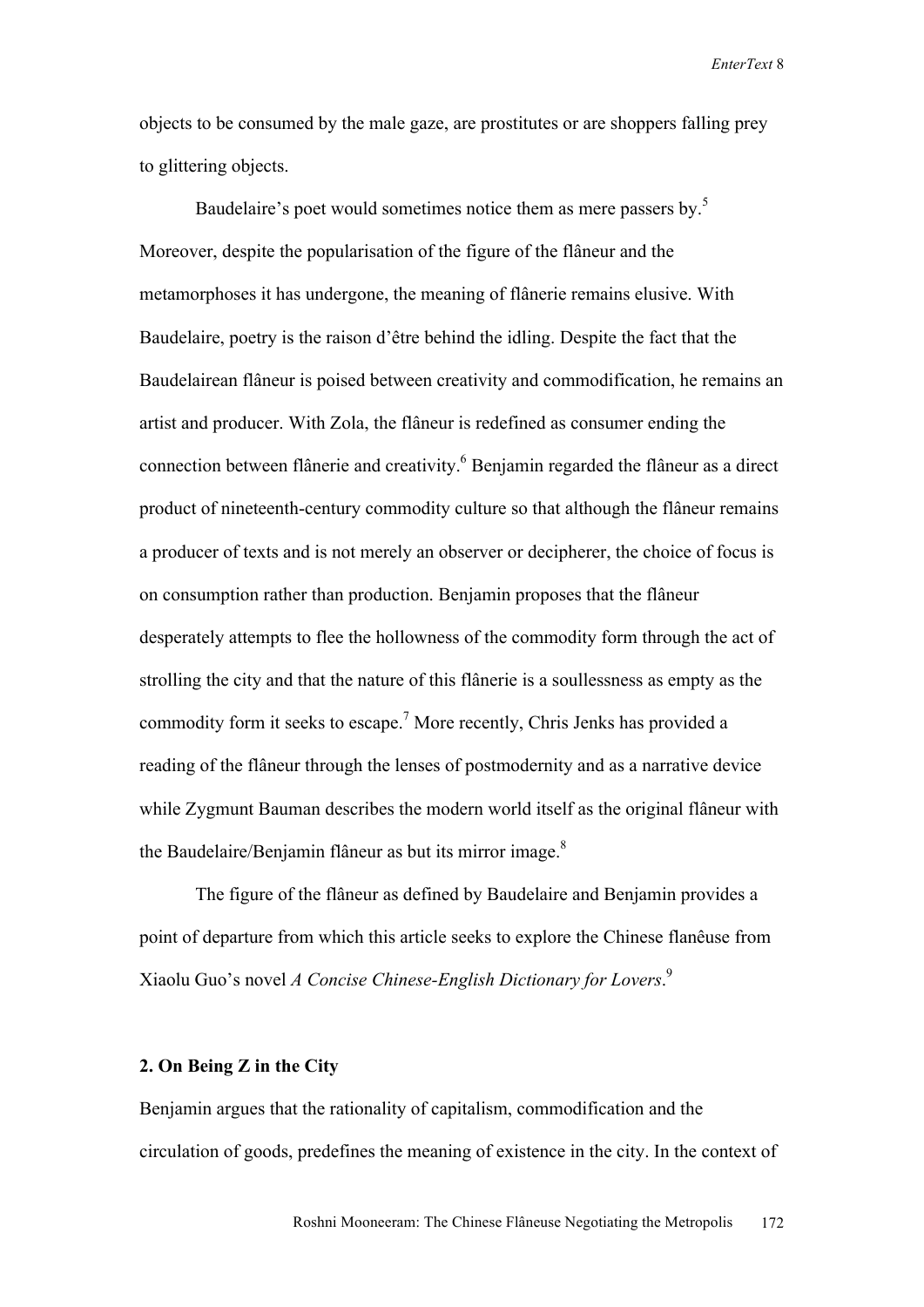objects to be consumed by the male gaze, are prostitutes or are shoppers falling prey to glittering objects.

Baudelaire's poet would sometimes notice them as mere passers by.<sup>5</sup> Moreover, despite the popularisation of the figure of the flâneur and the metamorphoses it has undergone, the meaning of flânerie remains elusive. With Baudelaire, poetry is the raison d'être behind the idling. Despite the fact that the Baudelairean flâneur is poised between creativity and commodification, he remains an artist and producer. With Zola, the flâneur is redefined as consumer ending the connection between flânerie and creativity.<sup>6</sup> Benjamin regarded the flâneur as a direct product of nineteenth-century commodity culture so that although the flâneur remains a producer of texts and is not merely an observer or decipherer, the choice of focus is on consumption rather than production. Benjamin proposes that the flâneur desperately attempts to flee the hollowness of the commodity form through the act of strolling the city and that the nature of this flânerie is a soullessness as empty as the commodity form it seeks to escape.<sup>7</sup> More recently, Chris Jenks has provided a reading of the flâneur through the lenses of postmodernity and as a narrative device while Zygmunt Bauman describes the modern world itself as the original flâneur with the Baudelaire/Benjamin flâneur as but its mirror image.<sup>8</sup>

The figure of the flâneur as defined by Baudelaire and Benjamin provides a point of departure from which this article seeks to explore the Chinese flanêuse from Xiaolu Guo's novel *A Concise Chinese-English Dictionary for Lovers*. 9

# **2. On Being Z in the City**

Benjamin argues that the rationality of capitalism, commodification and the circulation of goods, predefines the meaning of existence in the city. In the context of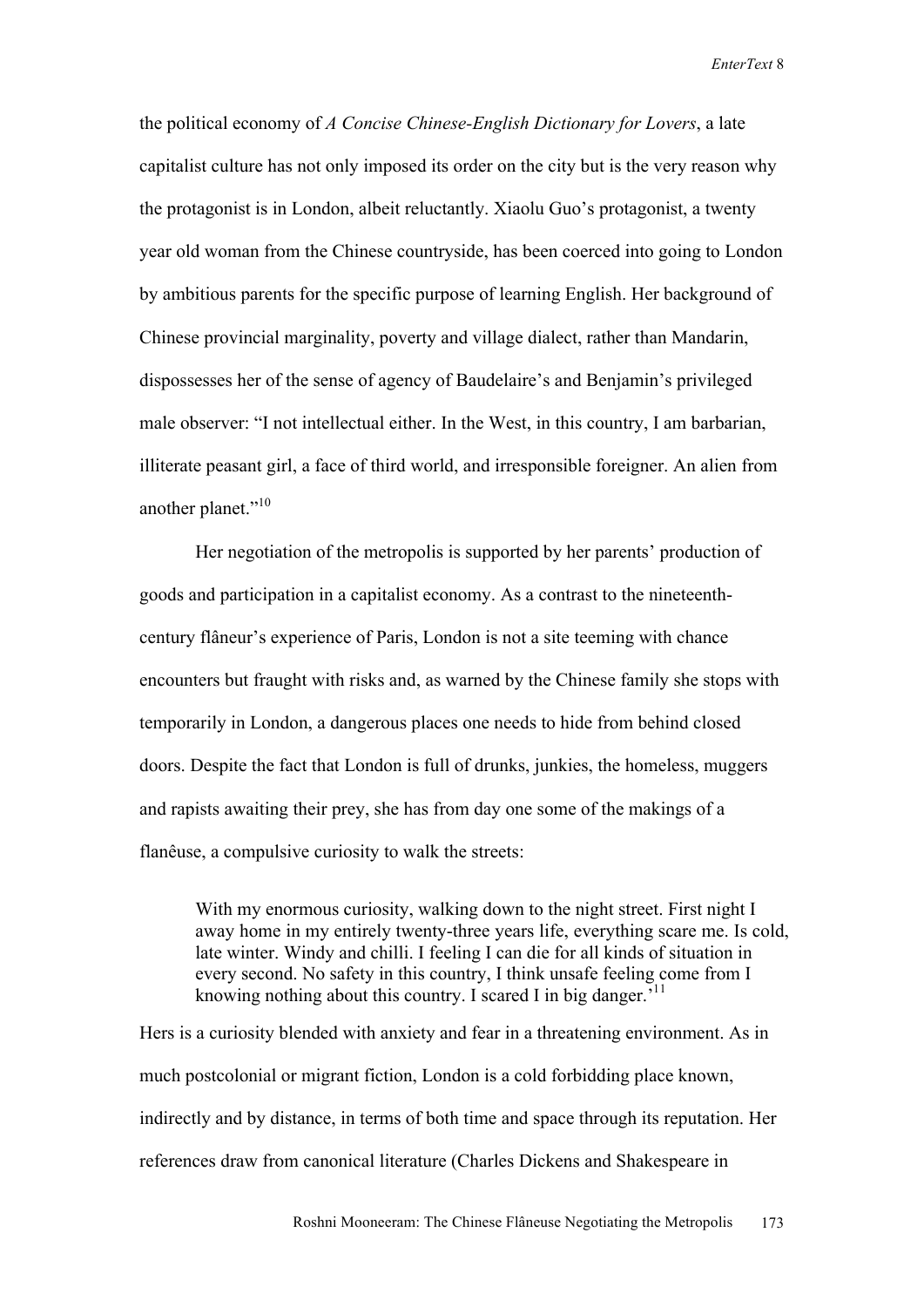the political economy of *A Concise Chinese-English Dictionary for Lovers*, a late capitalist culture has not only imposed its order on the city but is the very reason why the protagonist is in London, albeit reluctantly. Xiaolu Guo's protagonist, a twenty year old woman from the Chinese countryside, has been coerced into going to London by ambitious parents for the specific purpose of learning English. Her background of Chinese provincial marginality, poverty and village dialect, rather than Mandarin, dispossesses her of the sense of agency of Baudelaire's and Benjamin's privileged male observer: "I not intellectual either. In the West, in this country, I am barbarian, illiterate peasant girl, a face of third world, and irresponsible foreigner. An alien from another planet."<sup>10</sup>

Her negotiation of the metropolis is supported by her parents' production of goods and participation in a capitalist economy. As a contrast to the nineteenthcentury flâneur's experience of Paris, London is not a site teeming with chance encounters but fraught with risks and, as warned by the Chinese family she stops with temporarily in London, a dangerous places one needs to hide from behind closed doors. Despite the fact that London is full of drunks, junkies, the homeless, muggers and rapists awaiting their prey, she has from day one some of the makings of a flanêuse, a compulsive curiosity to walk the streets:

With my enormous curiosity, walking down to the night street. First night I away home in my entirely twenty-three years life, everything scare me. Is cold, late winter. Windy and chilli. I feeling I can die for all kinds of situation in every second. No safety in this country, I think unsafe feeling come from I knowing nothing about this country. I scared I in big danger.<sup> $11$ </sup>

Hers is a curiosity blended with anxiety and fear in a threatening environment. As in much postcolonial or migrant fiction, London is a cold forbidding place known, indirectly and by distance, in terms of both time and space through its reputation. Her references draw from canonical literature (Charles Dickens and Shakespeare in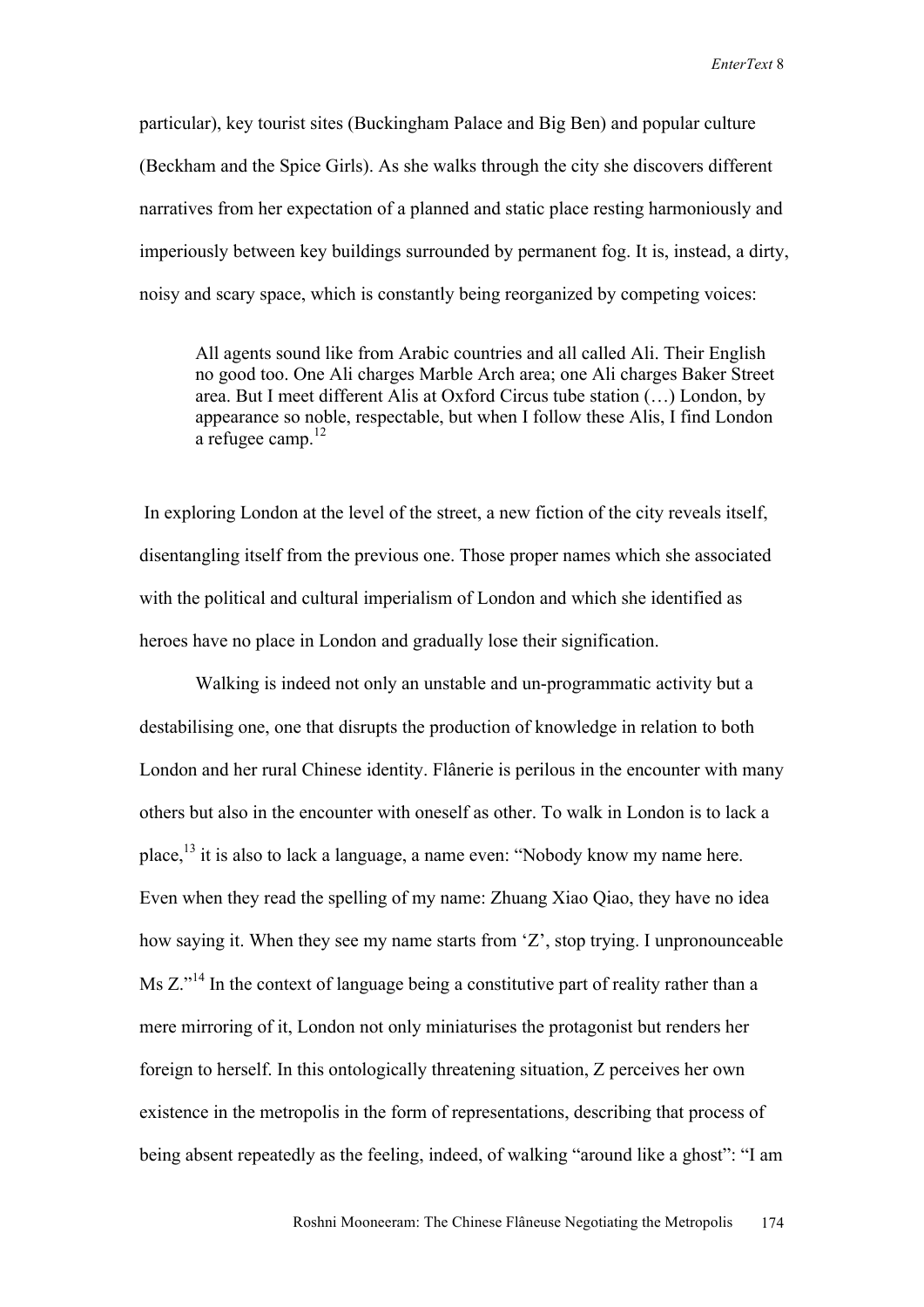particular), key tourist sites (Buckingham Palace and Big Ben) and popular culture (Beckham and the Spice Girls). As she walks through the city she discovers different narratives from her expectation of a planned and static place resting harmoniously and imperiously between key buildings surrounded by permanent fog. It is, instead, a dirty, noisy and scary space, which is constantly being reorganized by competing voices:

All agents sound like from Arabic countries and all called Ali. Their English no good too. One Ali charges Marble Arch area; one Ali charges Baker Street area. But I meet different Alis at Oxford Circus tube station (…) London, by appearance so noble, respectable, but when I follow these Alis, I find London a refugee camp. $^{12}$ 

 In exploring London at the level of the street, a new fiction of the city reveals itself, disentangling itself from the previous one. Those proper names which she associated with the political and cultural imperialism of London and which she identified as heroes have no place in London and gradually lose their signification.

Walking is indeed not only an unstable and un-programmatic activity but a destabilising one, one that disrupts the production of knowledge in relation to both London and her rural Chinese identity. Flânerie is perilous in the encounter with many others but also in the encounter with oneself as other. To walk in London is to lack a place,  $^{13}$  it is also to lack a language, a name even: "Nobody know my name here. Even when they read the spelling of my name: Zhuang Xiao Qiao, they have no idea how saying it. When they see my name starts from 'Z', stop trying. I unpronounceable Ms Z."<sup>14</sup> In the context of language being a constitutive part of reality rather than a mere mirroring of it, London not only miniaturises the protagonist but renders her foreign to herself. In this ontologically threatening situation, Z perceives her own existence in the metropolis in the form of representations, describing that process of being absent repeatedly as the feeling, indeed, of walking "around like a ghost": "I am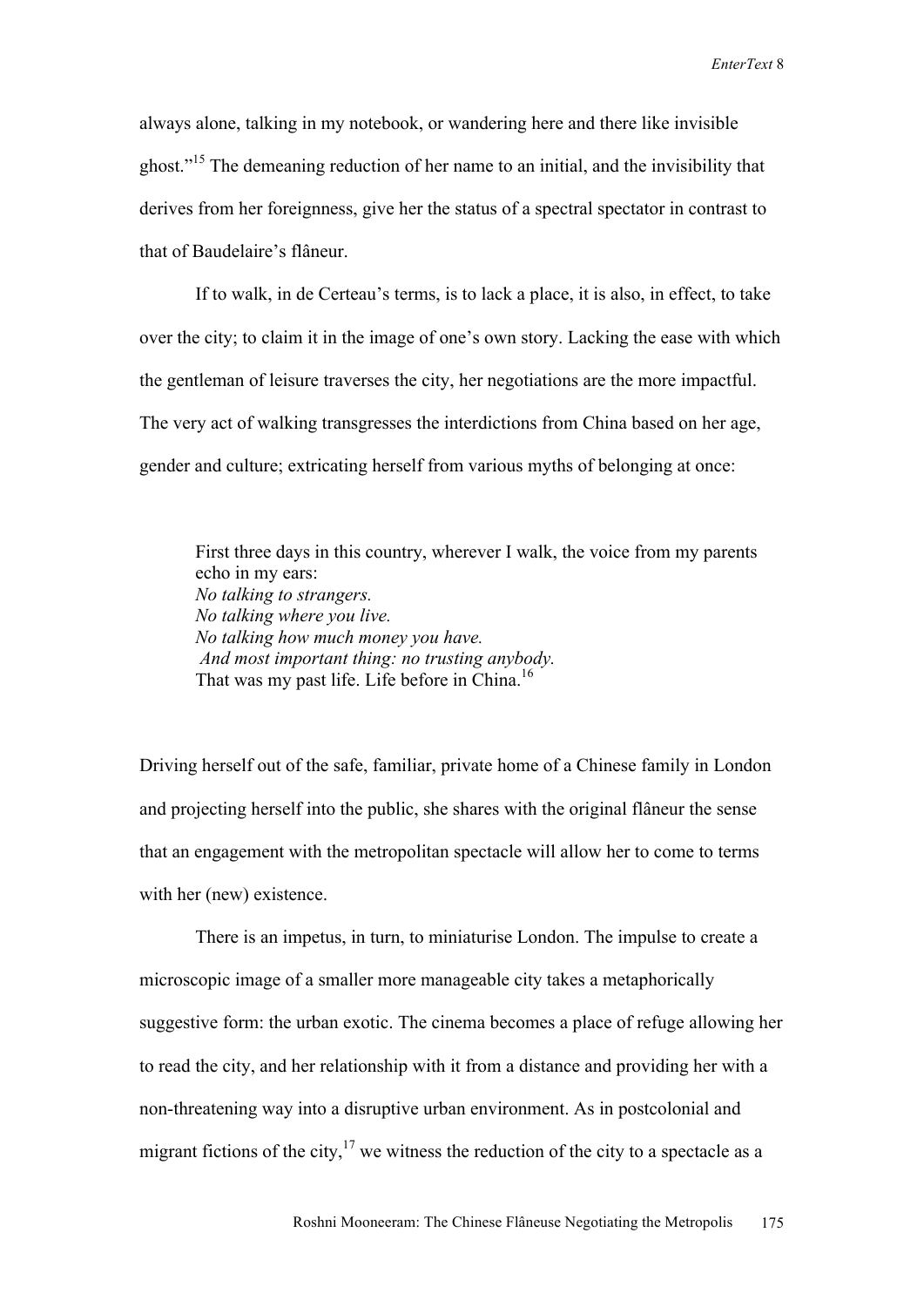always alone, talking in my notebook, or wandering here and there like invisible ghost."15 The demeaning reduction of her name to an initial, and the invisibility that derives from her foreignness, give her the status of a spectral spectator in contrast to that of Baudelaire's flâneur.

If to walk, in de Certeau's terms, is to lack a place, it is also, in effect, to take over the city; to claim it in the image of one's own story. Lacking the ease with which the gentleman of leisure traverses the city, her negotiations are the more impactful. The very act of walking transgresses the interdictions from China based on her age, gender and culture; extricating herself from various myths of belonging at once:

First three days in this country, wherever I walk, the voice from my parents echo in my ears: *No talking to strangers. No talking where you live. No talking how much money you have. And most important thing: no trusting anybody.*  That was my past life. Life before in China.<sup>16</sup>

Driving herself out of the safe, familiar, private home of a Chinese family in London and projecting herself into the public, she shares with the original flâneur the sense that an engagement with the metropolitan spectacle will allow her to come to terms with her (new) existence.

There is an impetus, in turn, to miniaturise London. The impulse to create a microscopic image of a smaller more manageable city takes a metaphorically suggestive form: the urban exotic. The cinema becomes a place of refuge allowing her to read the city, and her relationship with it from a distance and providing her with a non-threatening way into a disruptive urban environment. As in postcolonial and migrant fictions of the city,  $17$  we witness the reduction of the city to a spectacle as a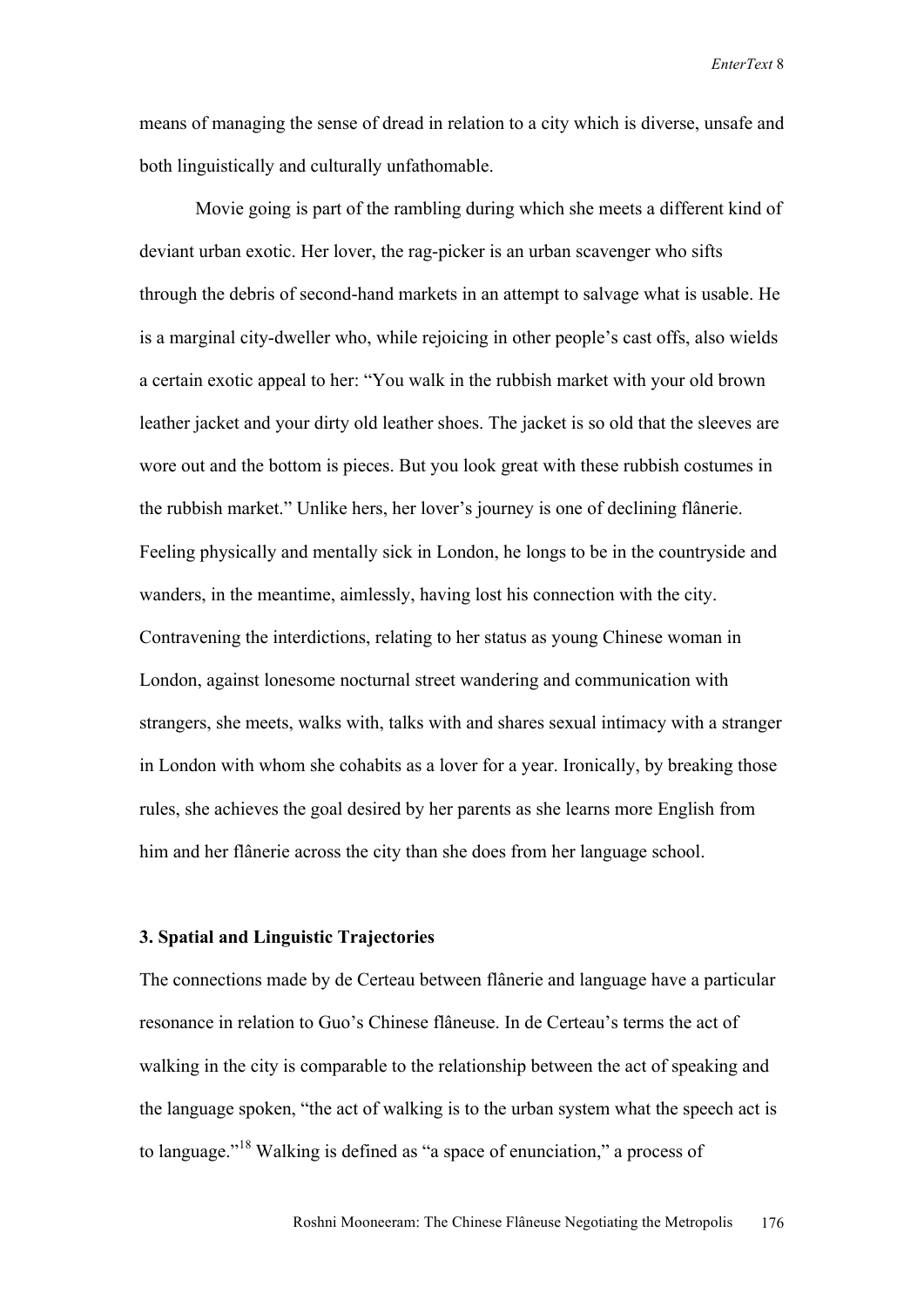means of managing the sense of dread in relation to a city which is diverse, unsafe and both linguistically and culturally unfathomable.

Movie going is part of the rambling during which she meets a different kind of deviant urban exotic. Her lover, the rag-picker is an urban scavenger who sifts through the debris of second-hand markets in an attempt to salvage what is usable. He is a marginal city-dweller who, while rejoicing in other people's cast offs, also wields a certain exotic appeal to her: "You walk in the rubbish market with your old brown leather jacket and your dirty old leather shoes. The jacket is so old that the sleeves are wore out and the bottom is pieces. But you look great with these rubbish costumes in the rubbish market." Unlike hers, her lover's journey is one of declining flânerie. Feeling physically and mentally sick in London, he longs to be in the countryside and wanders, in the meantime, aimlessly, having lost his connection with the city. Contravening the interdictions, relating to her status as young Chinese woman in London, against lonesome nocturnal street wandering and communication with strangers, she meets, walks with, talks with and shares sexual intimacy with a stranger in London with whom she cohabits as a lover for a year. Ironically, by breaking those rules, she achieves the goal desired by her parents as she learns more English from him and her flânerie across the city than she does from her language school.

## **3. Spatial and Linguistic Trajectories**

The connections made by de Certeau between flânerie and language have a particular resonance in relation to Guo's Chinese flâneuse. In de Certeau's terms the act of walking in the city is comparable to the relationship between the act of speaking and the language spoken, "the act of walking is to the urban system what the speech act is to language."18 Walking is defined as "a space of enunciation," a process of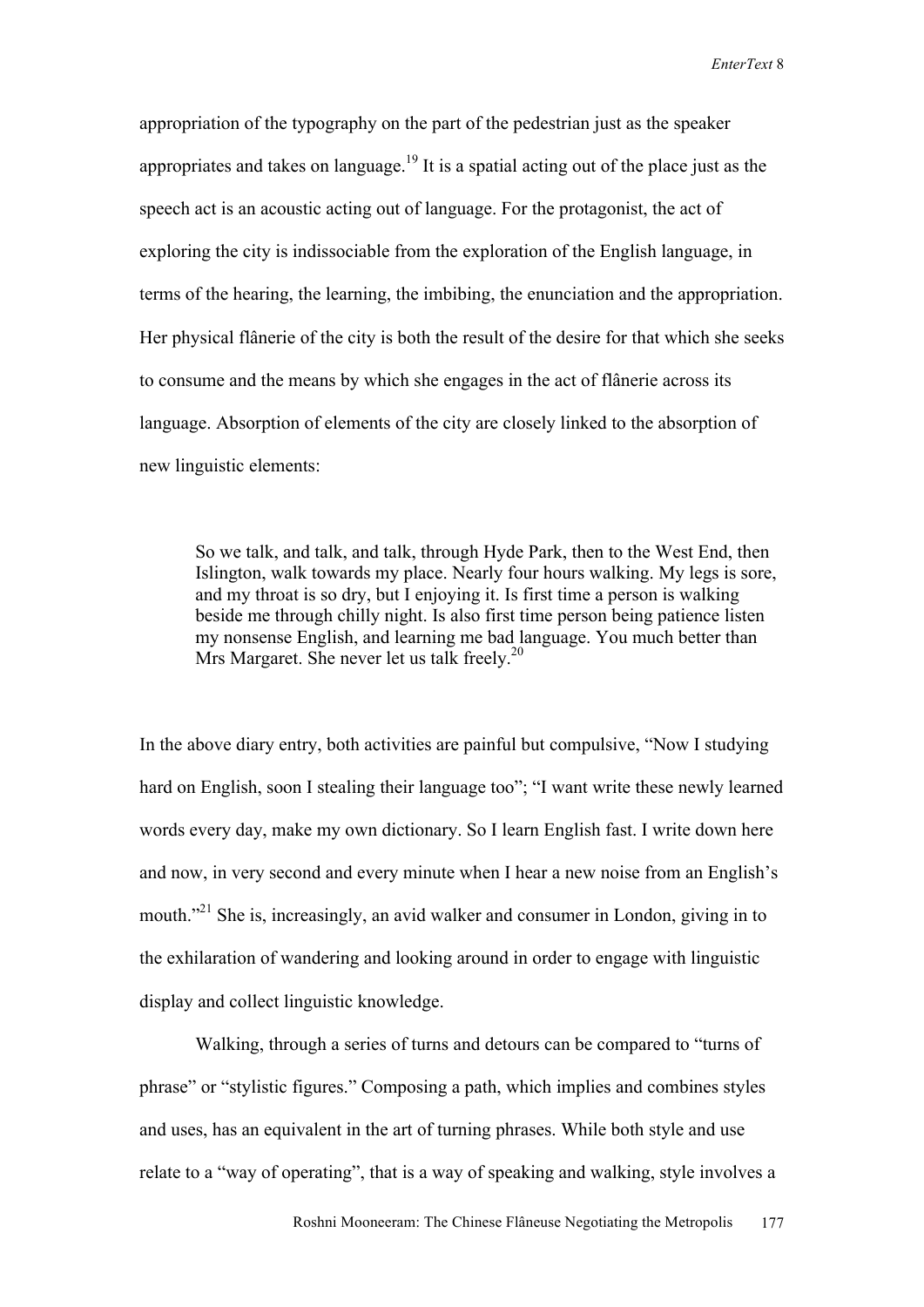appropriation of the typography on the part of the pedestrian just as the speaker appropriates and takes on language.<sup>19</sup> It is a spatial acting out of the place just as the speech act is an acoustic acting out of language. For the protagonist, the act of exploring the city is indissociable from the exploration of the English language, in terms of the hearing, the learning, the imbibing, the enunciation and the appropriation. Her physical flânerie of the city is both the result of the desire for that which she seeks to consume and the means by which she engages in the act of flânerie across its language. Absorption of elements of the city are closely linked to the absorption of new linguistic elements:

So we talk, and talk, and talk, through Hyde Park, then to the West End, then Islington, walk towards my place. Nearly four hours walking. My legs is sore, and my throat is so dry, but I enjoying it. Is first time a person is walking beside me through chilly night. Is also first time person being patience listen my nonsense English, and learning me bad language. You much better than Mrs Margaret. She never let us talk freely.<sup>20</sup>

In the above diary entry, both activities are painful but compulsive, "Now I studying hard on English, soon I stealing their language too"; "I want write these newly learned words every day, make my own dictionary. So I learn English fast. I write down here and now, in very second and every minute when I hear a new noise from an English's mouth.<sup>"21</sup> She is, increasingly, an avid walker and consumer in London, giving in to the exhilaration of wandering and looking around in order to engage with linguistic display and collect linguistic knowledge.

Walking, through a series of turns and detours can be compared to "turns of phrase" or "stylistic figures." Composing a path, which implies and combines styles and uses, has an equivalent in the art of turning phrases. While both style and use relate to a "way of operating", that is a way of speaking and walking, style involves a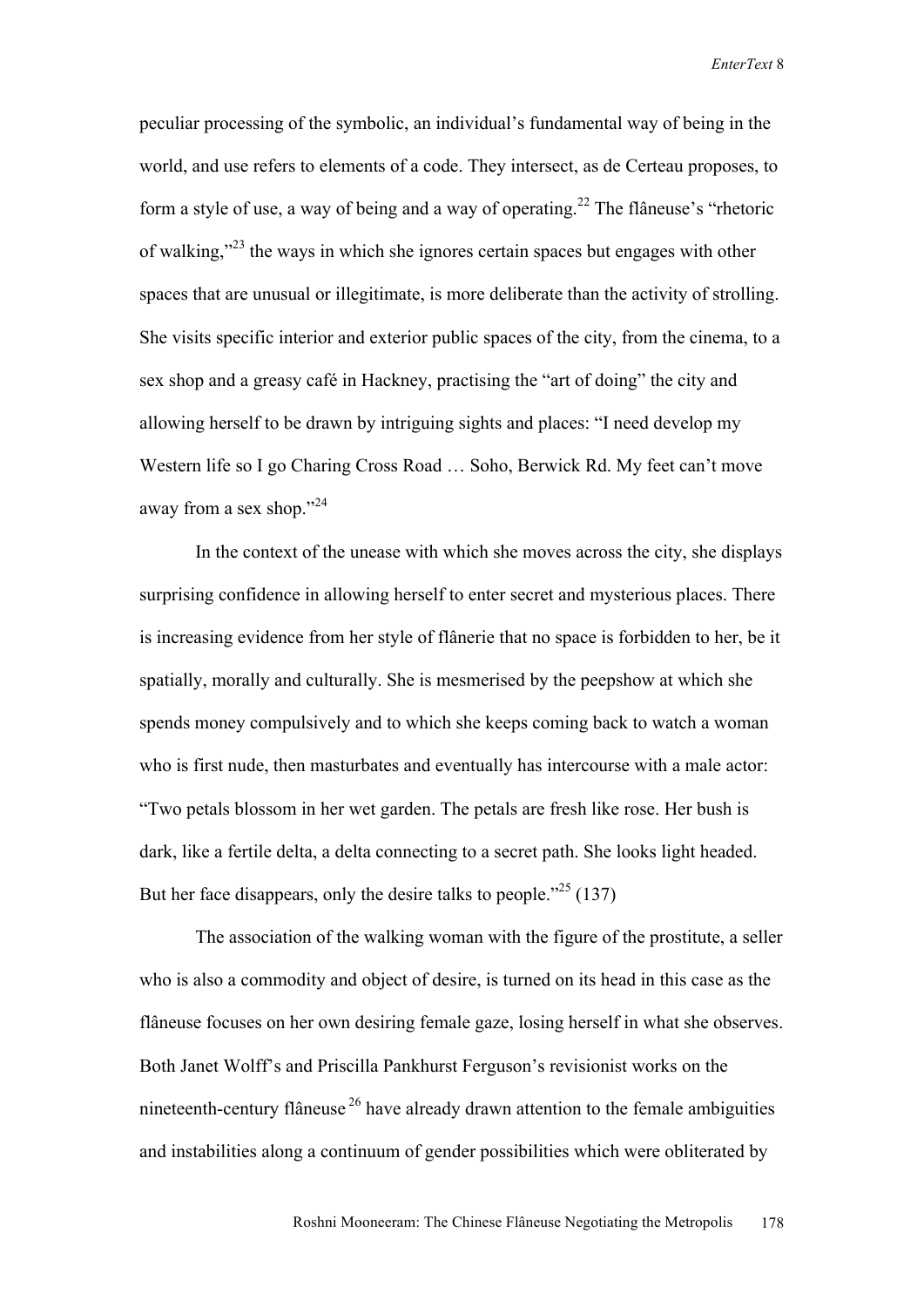peculiar processing of the symbolic, an individual's fundamental way of being in the world, and use refers to elements of a code. They intersect, as de Certeau proposes, to form a style of use, a way of being and a way of operating.<sup>22</sup> The flâneuse's "rhetoric of walking,"23 the ways in which she ignores certain spaces but engages with other spaces that are unusual or illegitimate, is more deliberate than the activity of strolling. She visits specific interior and exterior public spaces of the city, from the cinema, to a sex shop and a greasy café in Hackney, practising the "art of doing" the city and allowing herself to be drawn by intriguing sights and places: "I need develop my Western life so I go Charing Cross Road … Soho, Berwick Rd. My feet can't move away from a sex shop."<sup>24</sup>

In the context of the unease with which she moves across the city, she displays surprising confidence in allowing herself to enter secret and mysterious places. There is increasing evidence from her style of flânerie that no space is forbidden to her, be it spatially, morally and culturally. She is mesmerised by the peepshow at which she spends money compulsively and to which she keeps coming back to watch a woman who is first nude, then masturbates and eventually has intercourse with a male actor: "Two petals blossom in her wet garden. The petals are fresh like rose. Her bush is dark, like a fertile delta, a delta connecting to a secret path. She looks light headed. But her face disappears, only the desire talks to people."<sup>25</sup> (137)

The association of the walking woman with the figure of the prostitute, a seller who is also a commodity and object of desire, is turned on its head in this case as the flâneuse focuses on her own desiring female gaze, losing herself in what she observes. Both Janet Wolff's and Priscilla Pankhurst Ferguson's revisionist works on the nineteenth-century flâneuse 26 have already drawn attention to the female ambiguities and instabilities along a continuum of gender possibilities which were obliterated by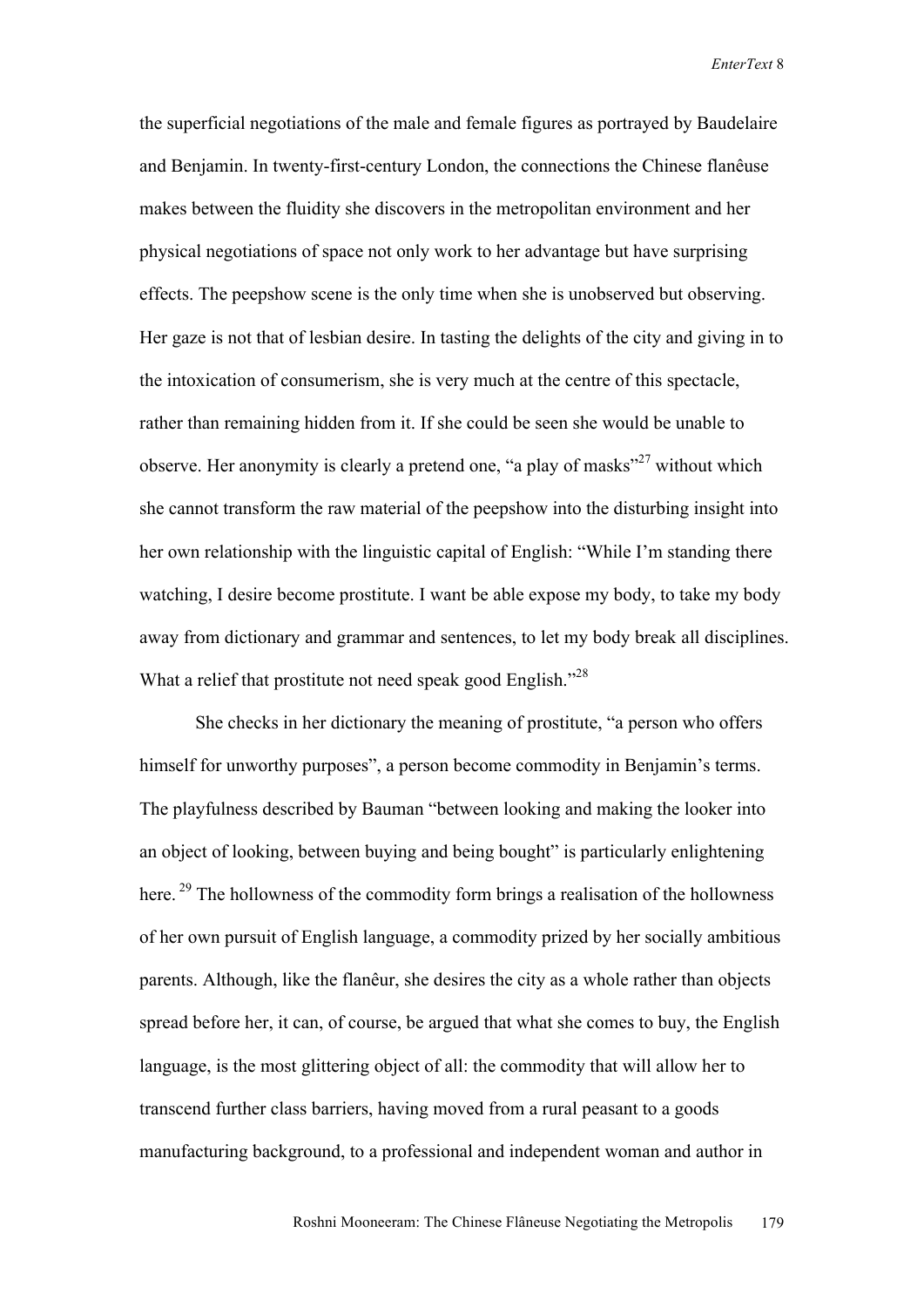the superficial negotiations of the male and female figures as portrayed by Baudelaire and Benjamin. In twenty-first-century London, the connections the Chinese flanêuse makes between the fluidity she discovers in the metropolitan environment and her physical negotiations of space not only work to her advantage but have surprising effects. The peepshow scene is the only time when she is unobserved but observing. Her gaze is not that of lesbian desire. In tasting the delights of the city and giving in to the intoxication of consumerism, she is very much at the centre of this spectacle, rather than remaining hidden from it. If she could be seen she would be unable to observe. Her anonymity is clearly a pretend one, "a play of masks"<sup>27</sup> without which she cannot transform the raw material of the peepshow into the disturbing insight into her own relationship with the linguistic capital of English: "While I'm standing there watching, I desire become prostitute. I want be able expose my body, to take my body away from dictionary and grammar and sentences, to let my body break all disciplines. What a relief that prostitute not need speak good English."<sup>28</sup>

She checks in her dictionary the meaning of prostitute, "a person who offers himself for unworthy purposes", a person become commodity in Benjamin's terms. The playfulness described by Bauman "between looking and making the looker into an object of looking, between buying and being bought" is particularly enlightening here.<sup>29</sup> The hollowness of the commodity form brings a realisation of the hollowness of her own pursuit of English language, a commodity prized by her socially ambitious parents. Although, like the flanêur, she desires the city as a whole rather than objects spread before her, it can, of course, be argued that what she comes to buy, the English language, is the most glittering object of all: the commodity that will allow her to transcend further class barriers, having moved from a rural peasant to a goods manufacturing background, to a professional and independent woman and author in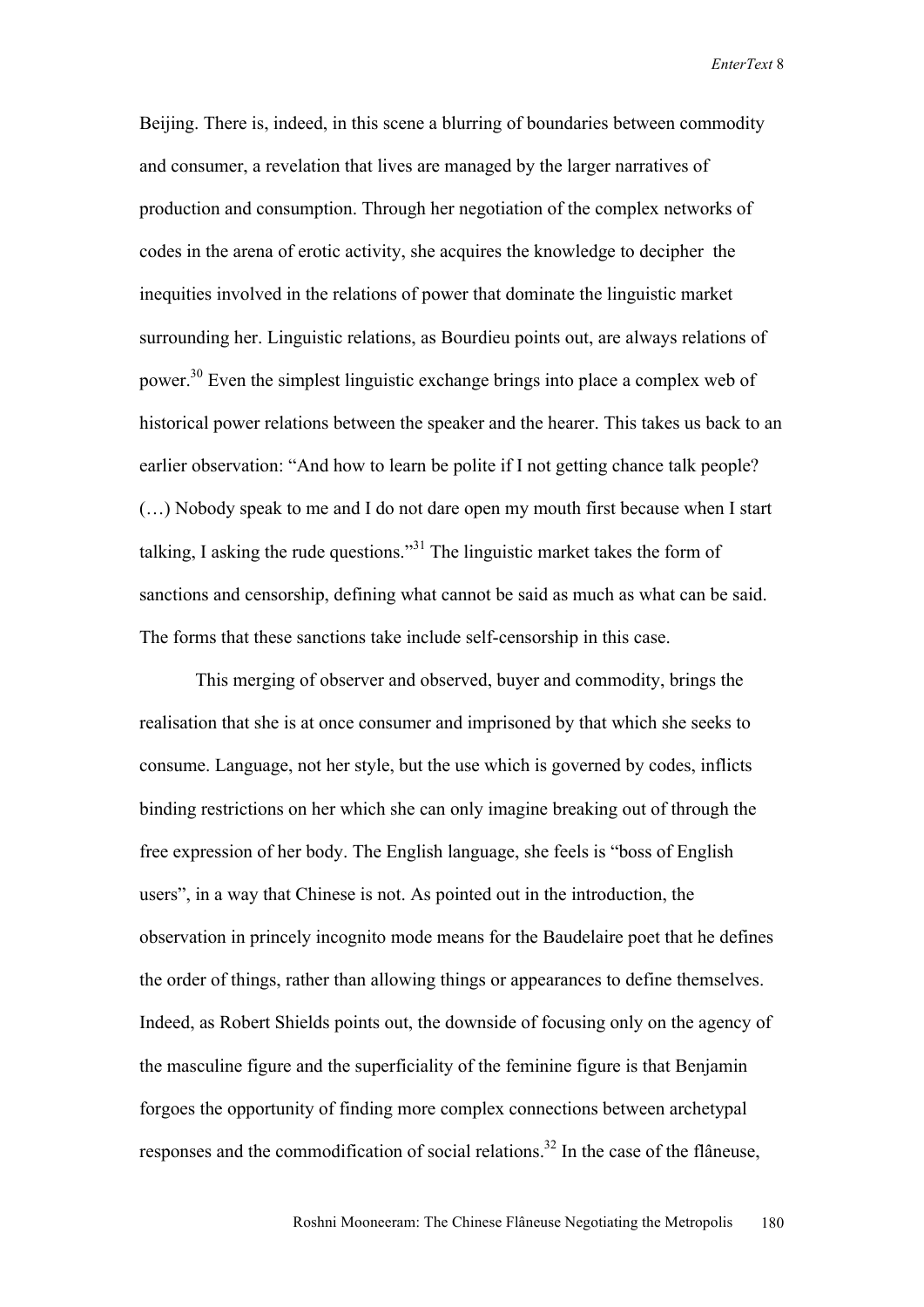Beijing. There is, indeed, in this scene a blurring of boundaries between commodity and consumer, a revelation that lives are managed by the larger narratives of production and consumption. Through her negotiation of the complex networks of codes in the arena of erotic activity, she acquires the knowledge to decipher the inequities involved in the relations of power that dominate the linguistic market surrounding her. Linguistic relations, as Bourdieu points out, are always relations of power.<sup>30</sup> Even the simplest linguistic exchange brings into place a complex web of historical power relations between the speaker and the hearer. This takes us back to an earlier observation: "And how to learn be polite if I not getting chance talk people? (…) Nobody speak to me and I do not dare open my mouth first because when I start talking, I asking the rude questions."<sup>31</sup> The linguistic market takes the form of sanctions and censorship, defining what cannot be said as much as what can be said. The forms that these sanctions take include self-censorship in this case.

This merging of observer and observed, buyer and commodity, brings the realisation that she is at once consumer and imprisoned by that which she seeks to consume. Language, not her style, but the use which is governed by codes, inflicts binding restrictions on her which she can only imagine breaking out of through the free expression of her body. The English language, she feels is "boss of English users", in a way that Chinese is not. As pointed out in the introduction, the observation in princely incognito mode means for the Baudelaire poet that he defines the order of things, rather than allowing things or appearances to define themselves. Indeed, as Robert Shields points out, the downside of focusing only on the agency of the masculine figure and the superficiality of the feminine figure is that Benjamin forgoes the opportunity of finding more complex connections between archetypal responses and the commodification of social relations.<sup>32</sup> In the case of the flâneuse,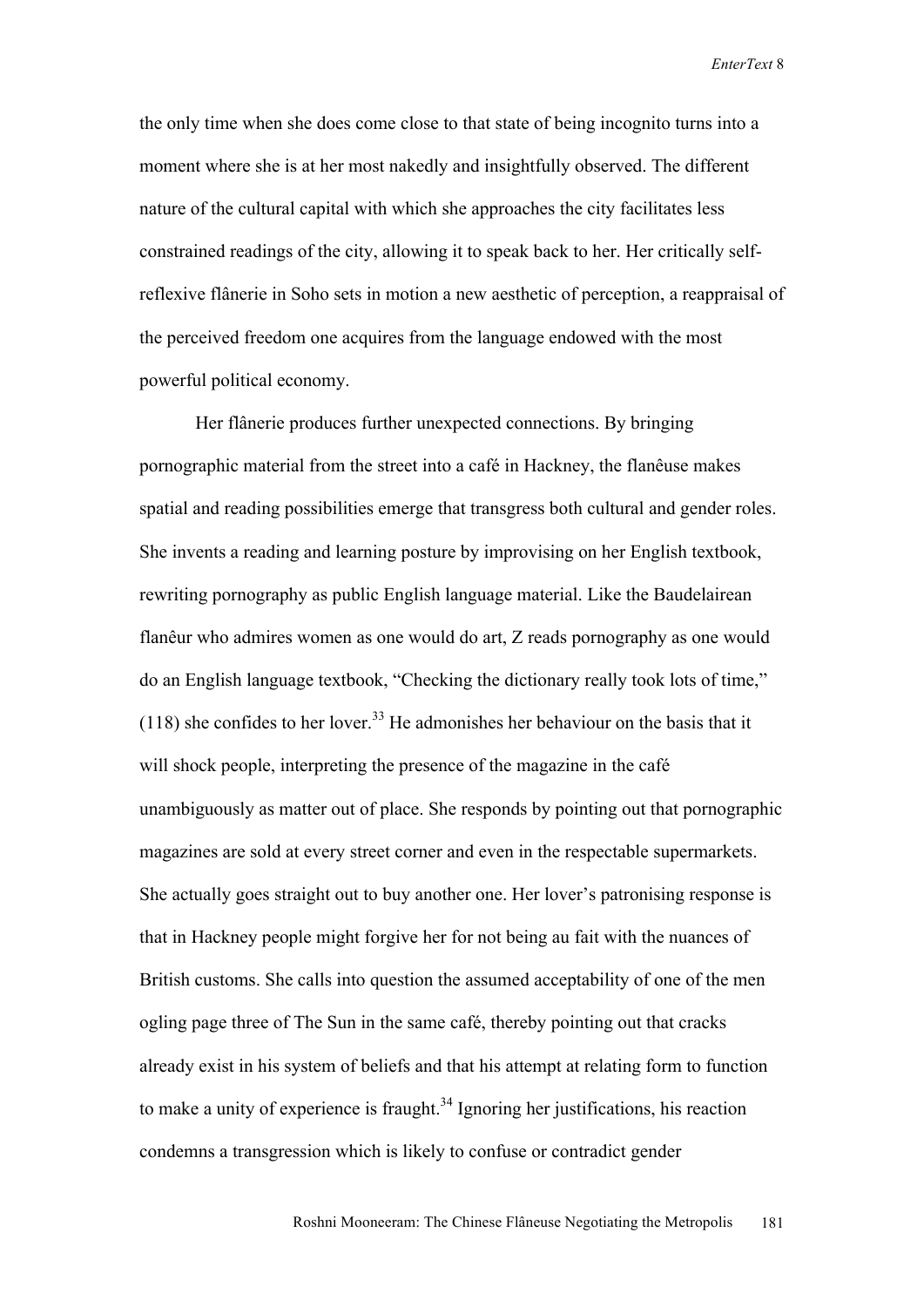the only time when she does come close to that state of being incognito turns into a moment where she is at her most nakedly and insightfully observed. The different nature of the cultural capital with which she approaches the city facilitates less constrained readings of the city, allowing it to speak back to her. Her critically selfreflexive flânerie in Soho sets in motion a new aesthetic of perception, a reappraisal of the perceived freedom one acquires from the language endowed with the most powerful political economy.

Her flânerie produces further unexpected connections. By bringing pornographic material from the street into a café in Hackney, the flanêuse makes spatial and reading possibilities emerge that transgress both cultural and gender roles. She invents a reading and learning posture by improvising on her English textbook, rewriting pornography as public English language material. Like the Baudelairean flanêur who admires women as one would do art, Z reads pornography as one would do an English language textbook, "Checking the dictionary really took lots of time,"  $(118)$  she confides to her lover.<sup>33</sup> He admonishes her behaviour on the basis that it will shock people, interpreting the presence of the magazine in the café unambiguously as matter out of place. She responds by pointing out that pornographic magazines are sold at every street corner and even in the respectable supermarkets. She actually goes straight out to buy another one. Her lover's patronising response is that in Hackney people might forgive her for not being au fait with the nuances of British customs. She calls into question the assumed acceptability of one of the men ogling page three of The Sun in the same café, thereby pointing out that cracks already exist in his system of beliefs and that his attempt at relating form to function to make a unity of experience is fraught.<sup>34</sup> Ignoring her justifications, his reaction condemns a transgression which is likely to confuse or contradict gender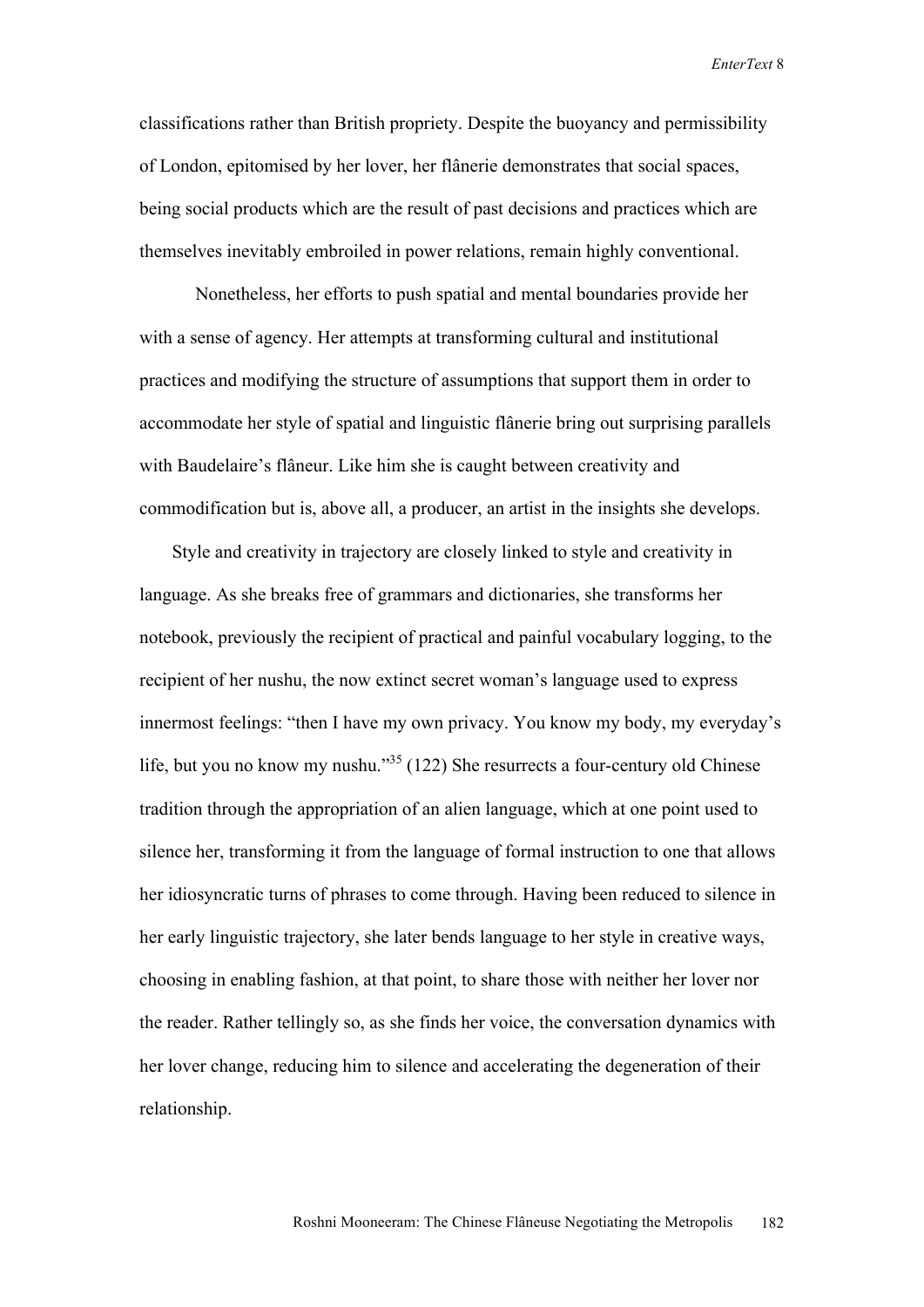classifications rather than British propriety. Despite the buoyancy and permissibility of London, epitomised by her lover, her flânerie demonstrates that social spaces, being social products which are the result of past decisions and practices which are themselves inevitably embroiled in power relations, remain highly conventional.

Nonetheless, her efforts to push spatial and mental boundaries provide her with a sense of agency. Her attempts at transforming cultural and institutional practices and modifying the structure of assumptions that support them in order to accommodate her style of spatial and linguistic flânerie bring out surprising parallels with Baudelaire's flâneur. Like him she is caught between creativity and commodification but is, above all, a producer, an artist in the insights she develops.

 Style and creativity in trajectory are closely linked to style and creativity in language. As she breaks free of grammars and dictionaries, she transforms her notebook, previously the recipient of practical and painful vocabulary logging, to the recipient of her nushu, the now extinct secret woman's language used to express innermost feelings: "then I have my own privacy. You know my body, my everyday's life, but you no know my nushu."<sup>35</sup> (122) She resurrects a four-century old Chinese tradition through the appropriation of an alien language, which at one point used to silence her, transforming it from the language of formal instruction to one that allows her idiosyncratic turns of phrases to come through. Having been reduced to silence in her early linguistic trajectory, she later bends language to her style in creative ways, choosing in enabling fashion, at that point, to share those with neither her lover nor the reader. Rather tellingly so, as she finds her voice, the conversation dynamics with her lover change, reducing him to silence and accelerating the degeneration of their relationship.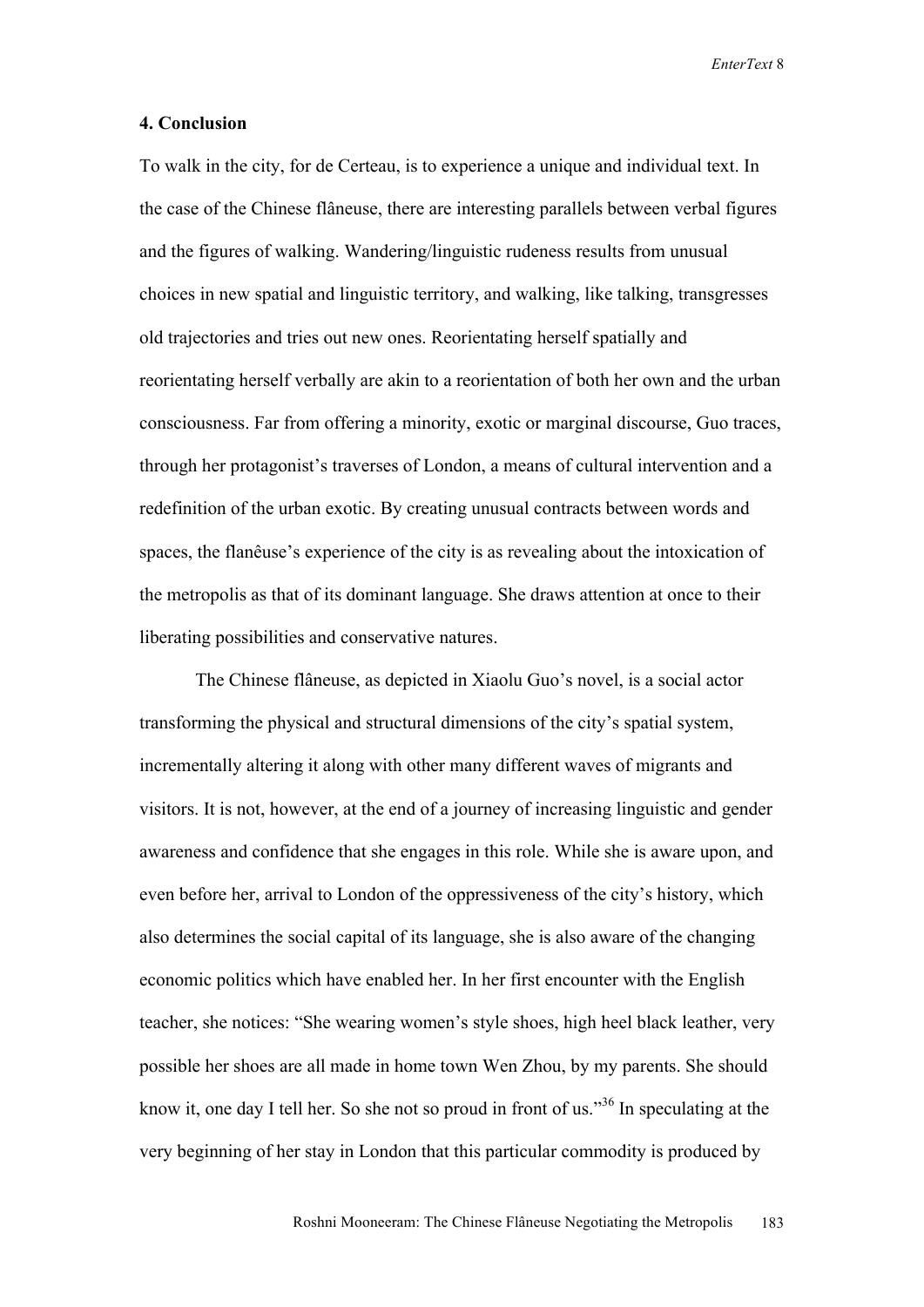#### **4. Conclusion**

To walk in the city, for de Certeau, is to experience a unique and individual text. In the case of the Chinese flâneuse, there are interesting parallels between verbal figures and the figures of walking. Wandering/linguistic rudeness results from unusual choices in new spatial and linguistic territory, and walking, like talking, transgresses old trajectories and tries out new ones. Reorientating herself spatially and reorientating herself verbally are akin to a reorientation of both her own and the urban consciousness. Far from offering a minority, exotic or marginal discourse, Guo traces, through her protagonist's traverses of London, a means of cultural intervention and a redefinition of the urban exotic. By creating unusual contracts between words and spaces, the flanêuse's experience of the city is as revealing about the intoxication of the metropolis as that of its dominant language. She draws attention at once to their liberating possibilities and conservative natures.

The Chinese flâneuse, as depicted in Xiaolu Guo's novel, is a social actor transforming the physical and structural dimensions of the city's spatial system, incrementally altering it along with other many different waves of migrants and visitors. It is not, however, at the end of a journey of increasing linguistic and gender awareness and confidence that she engages in this role. While she is aware upon, and even before her, arrival to London of the oppressiveness of the city's history, which also determines the social capital of its language, she is also aware of the changing economic politics which have enabled her. In her first encounter with the English teacher, she notices: "She wearing women's style shoes, high heel black leather, very possible her shoes are all made in home town Wen Zhou, by my parents. She should know it, one day I tell her. So she not so proud in front of us.<sup>36</sup> In speculating at the very beginning of her stay in London that this particular commodity is produced by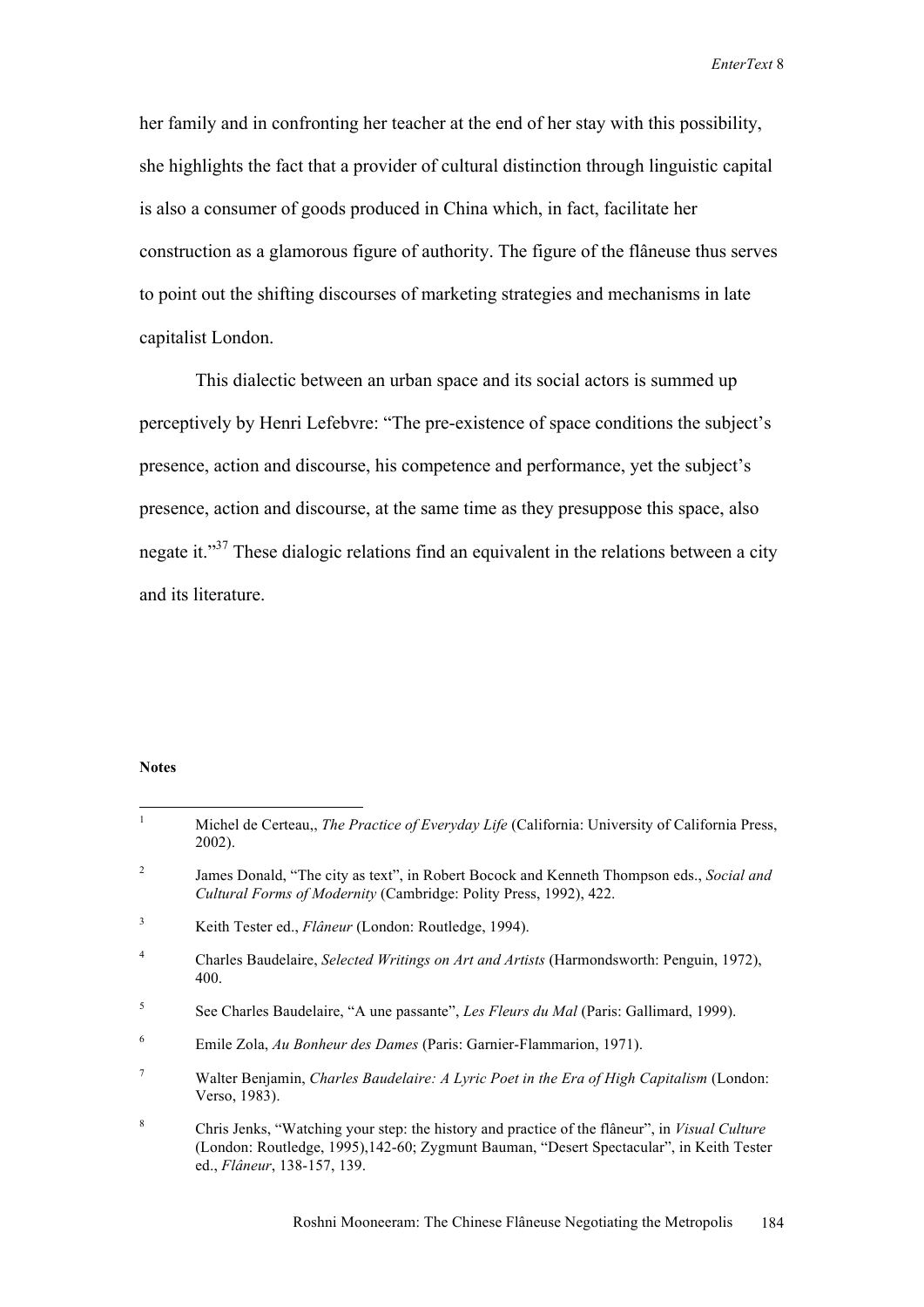her family and in confronting her teacher at the end of her stay with this possibility, she highlights the fact that a provider of cultural distinction through linguistic capital is also a consumer of goods produced in China which, in fact, facilitate her construction as a glamorous figure of authority. The figure of the flâneuse thus serves to point out the shifting discourses of marketing strategies and mechanisms in late capitalist London.

This dialectic between an urban space and its social actors is summed up perceptively by Henri Lefebvre: "The pre-existence of space conditions the subject's presence, action and discourse, his competence and performance, yet the subject's presence, action and discourse, at the same time as they presuppose this space, also negate it."37 These dialogic relations find an equivalent in the relations between a city and its literature.

#### **Notes**

| $\mathbf{1}$    | Michel de Certeau, <i>The Practice of Everyday Life</i> (California: University of California Press,<br>$2002$ ).                                                                                                               |
|-----------------|---------------------------------------------------------------------------------------------------------------------------------------------------------------------------------------------------------------------------------|
| 2               | James Donald, "The city as text", in Robert Bocock and Kenneth Thompson eds., Social and<br>Cultural Forms of Modernity (Cambridge: Polity Press, 1992), 422.                                                                   |
| 3               | Keith Tester ed., <i>Flâneur</i> (London: Routledge, 1994).                                                                                                                                                                     |
| $\overline{4}$  | Charles Baudelaire, Selected Writings on Art and Artists (Harmondsworth: Penguin, 1972),<br>400.                                                                                                                                |
| 5               | See Charles Baudelaire, "A une passante", Les Fleurs du Mal (Paris: Gallimard, 1999).                                                                                                                                           |
| 6               | Emile Zola, Au Bonheur des Dames (Paris: Garnier-Flammarion, 1971).                                                                                                                                                             |
| $7\phantom{.0}$ | Walter Benjamin, Charles Baudelaire: A Lyric Poet in the Era of High Capitalism (London:<br>Verso, 1983).                                                                                                                       |
| 8               | Chris Jenks, "Watching your step: the history and practice of the flâneur", in <i>Visual Culture</i><br>(London: Routledge, 1995), 142-60; Zygmunt Bauman, "Desert Spectacular", in Keith Tester<br>ed., Flâneur, 138-157, 139. |
|                 |                                                                                                                                                                                                                                 |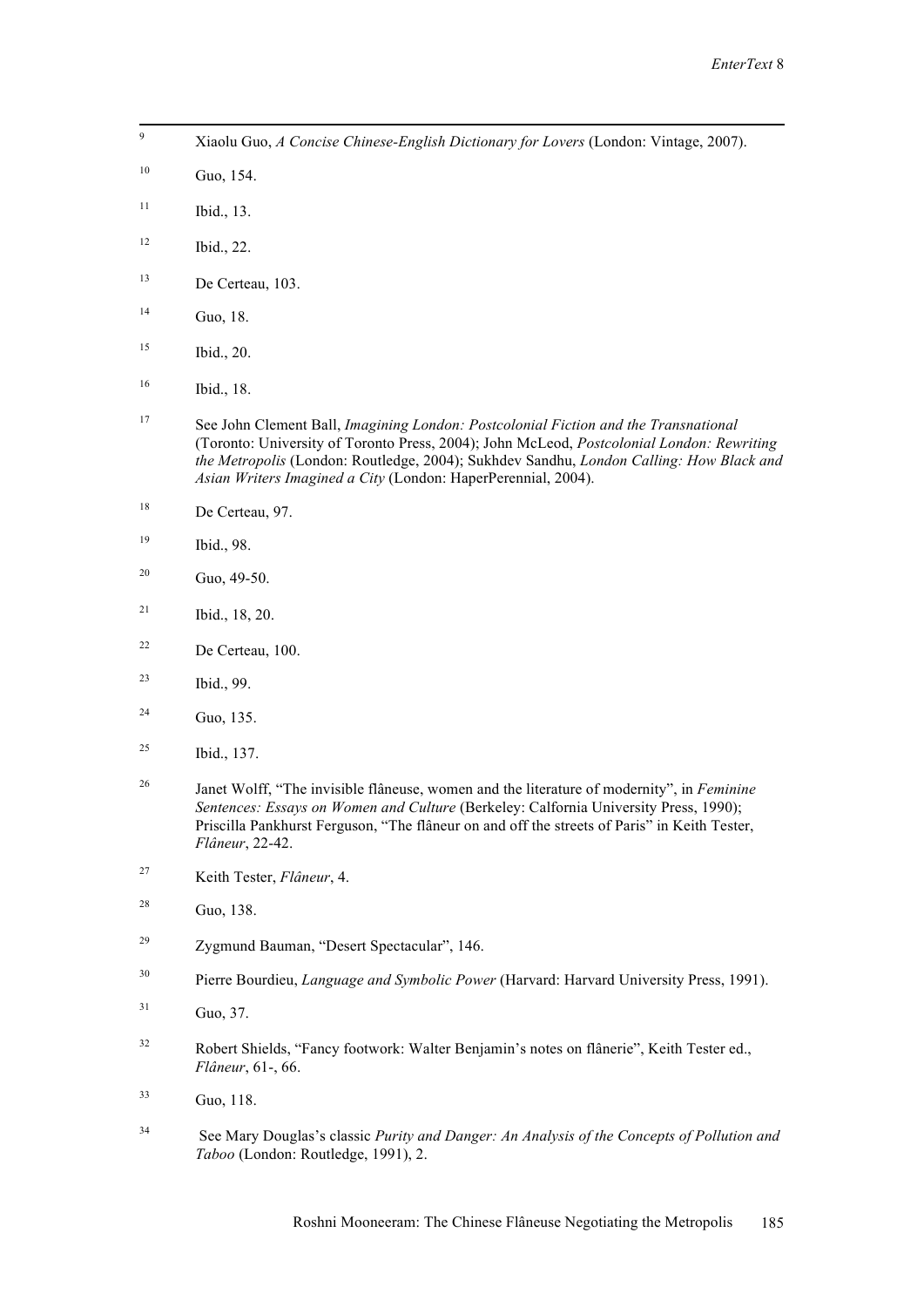Xiaolu Guo, *A Concise Chinese-English Dictionary for Lovers* (London: Vintage, 2007).

<u> Andreas Andrews Andrews Andrews Andrews Andrews Andrews Andrews Andrews Andrews Andrews Andrews Andrews Andr</u>

- Guo, 154.
- Ibid., 13.
- Ibid., 22.
- De Certeau, 103.
- Guo, 18.
- Ibid., 20.
- Ibid., 18.
- See John Clement Ball, *Imagining London: Postcolonial Fiction and the Transnational* (Toronto: University of Toronto Press, 2004); John McLeod, *Postcolonial London: Rewriting the Metropolis* (London: Routledge, 2004); Sukhdev Sandhu, *London Calling: How Black and Asian Writers Imagined a City* (London: HaperPerennial, 2004).
- De Certeau, 97.
- Ibid., 98.
- <sup>20</sup> Guo, 49-50.
- Ibid., 18, 20.
- De Certeau, 100.
- Ibid., 99.
- <sup>24</sup> Guo, 135.
- Ibid., 137.
- Janet Wolff, "The invisible flâneuse, women and the literature of modernity", in *Feminine Sentences: Essays on Women and Culture* (Berkeley: Calfornia University Press, 1990); Priscilla Pankhurst Ferguson, "The flâneur on and off the streets of Paris" in Keith Tester, *Flâneur*, 22-42.
- Keith Tester, *Flâneur*, 4.
- Guo, 138.
- Zygmund Bauman, "Desert Spectacular", 146.
- Pierre Bourdieu, *Language and Symbolic Power* (Harvard: Harvard University Press, 1991).
- Guo, 37.
- Robert Shields, "Fancy footwork: Walter Benjamin's notes on flânerie", Keith Tester ed., *Flâneur*, 61-, 66.
- Guo, 118.
- See Mary Douglas's classic *Purity and Danger: An Analysis of the Concepts of Pollution and Taboo* (London: Routledge, 1991), 2.